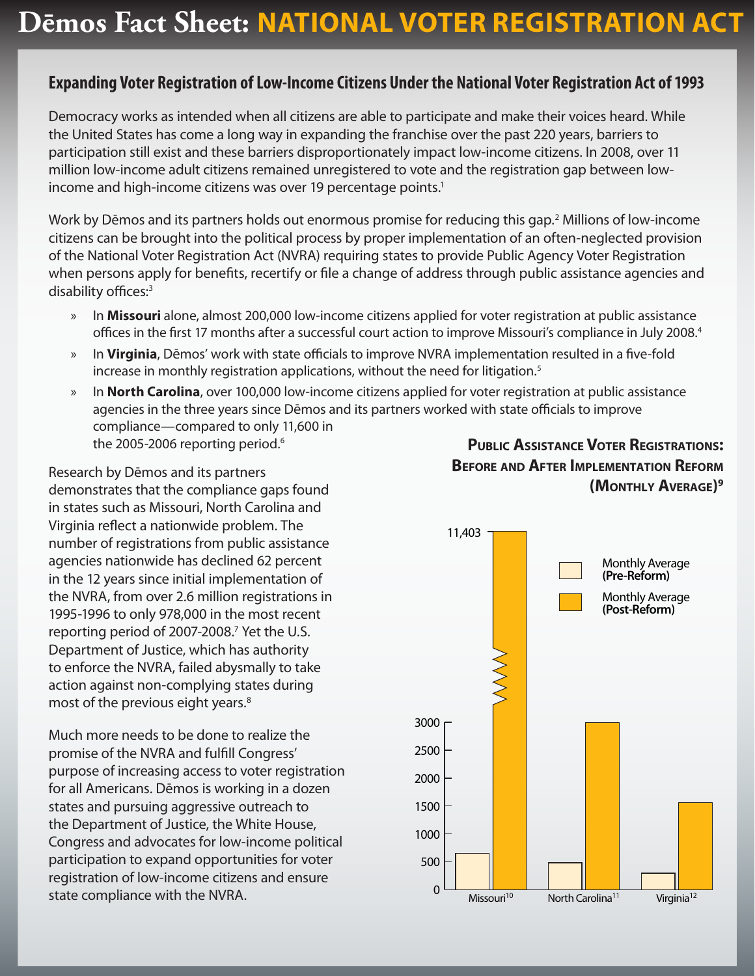## **Expanding Voter Registration of Low-Income Citizens Under the National Voter Registration Act of 1993**

Democracy works as intended when all citizens are able to participate and make their voices heard. While the United States has come a long way in expanding the franchise over the past 220 years, barriers to participation still exist and these barriers disproportionately impact low-income citizens. In 2008, over 11 million low-income adult citizens remained unregistered to vote and the registration gap between lowincome and high-income citizens was over 19 percentage points.<sup>1</sup>

Work by Dēmos and its partners holds out enormous promise for reducing this gap.<sup>2</sup> Millions of low-income citizens can be brought into the political process by proper implementation of an often-neglected provision of the National Voter Registration Act (NVRA) requiring states to provide Public Agency Voter Registration when persons apply for benefits, recertify or file a change of address through public assistance agencies and disability offices:<sup>3</sup>

- » In **Missouri** alone, almost 200,000 low-income citizens applied for voter registration at public assistance offices in the first 17 months after a successful court action to improve Missouri's compliance in July 2008.4
- » In **Virginia**, Dēmos' work with state officials to improve NVRA implementation resulted in a five-fold increase in monthly registration applications, without the need for litigation.<sup>5</sup>
- » In **North Carolina**, over 100,000 low-income citizens applied for voter registration at public assistance agencies in the three years since Dēmos and its partners worked with state officials to improve compliance—compared to only 11,600 in the 2005-2006 reporting period.<sup>6</sup>

Research by Dēmos and its partners demonstrates that the compliance gaps found in states such as Missouri, North Carolina and Virginia reflect a nationwide problem. The number of registrations from public assistance agencies nationwide has declined 62 percent in the 12 years since initial implementation of the NVRA, from over 2.6 million registrations in 1995-1996 to only 978,000 in the most recent reporting period of 2007-2008.<sup>7</sup> Yet the U.S. Department of Justice, which has authority to enforce the NVRA, failed abysmally to take action against non-complying states during most of the previous eight years.<sup>8</sup>

Much more needs to be done to realize the promise of the NVRA and fulfill Congress' purpose of increasing access to voter registration for all Americans. Dēmos is working in a dozen states and pursuing aggressive outreach to the Department of Justice, the White House, Congress and advocates for low-income political participation to expand opportunities for voter registration of low-income citizens and ensure state compliance with the NVRA.